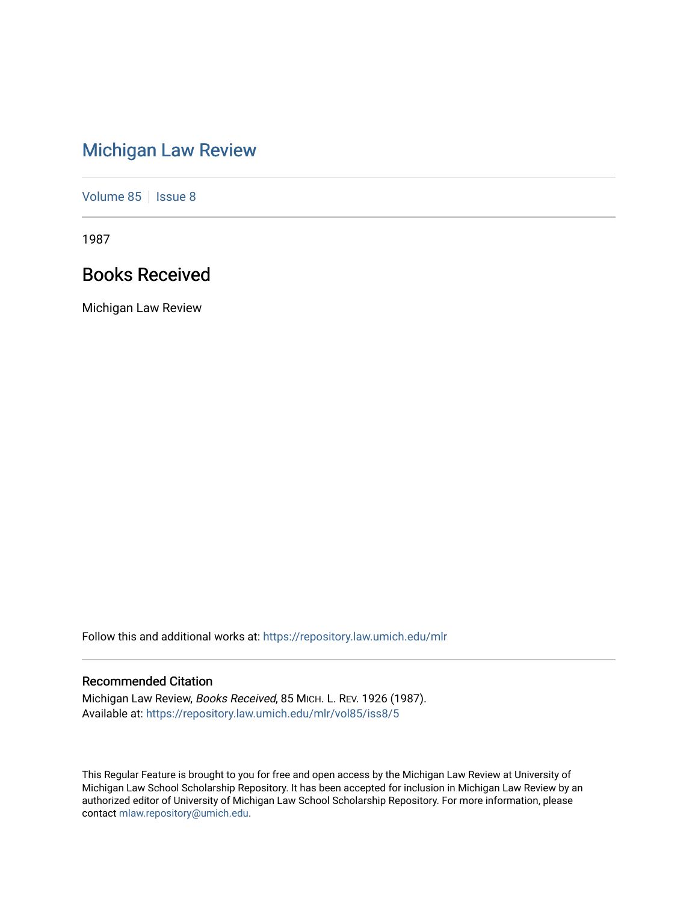# [Michigan Law Review](https://repository.law.umich.edu/mlr)

[Volume 85](https://repository.law.umich.edu/mlr/vol85) | [Issue 8](https://repository.law.umich.edu/mlr/vol85/iss8)

1987

# Books Received

Michigan Law Review

Follow this and additional works at: [https://repository.law.umich.edu/mlr](https://repository.law.umich.edu/mlr?utm_source=repository.law.umich.edu%2Fmlr%2Fvol85%2Fiss8%2F5&utm_medium=PDF&utm_campaign=PDFCoverPages) 

## Recommended Citation

Michigan Law Review, Books Received, 85 MICH. L. REV. 1926 (1987). Available at: [https://repository.law.umich.edu/mlr/vol85/iss8/5](https://repository.law.umich.edu/mlr/vol85/iss8/5?utm_source=repository.law.umich.edu%2Fmlr%2Fvol85%2Fiss8%2F5&utm_medium=PDF&utm_campaign=PDFCoverPages)

This Regular Feature is brought to you for free and open access by the Michigan Law Review at University of Michigan Law School Scholarship Repository. It has been accepted for inclusion in Michigan Law Review by an authorized editor of University of Michigan Law School Scholarship Repository. For more information, please contact [mlaw.repository@umich.edu](mailto:mlaw.repository@umich.edu).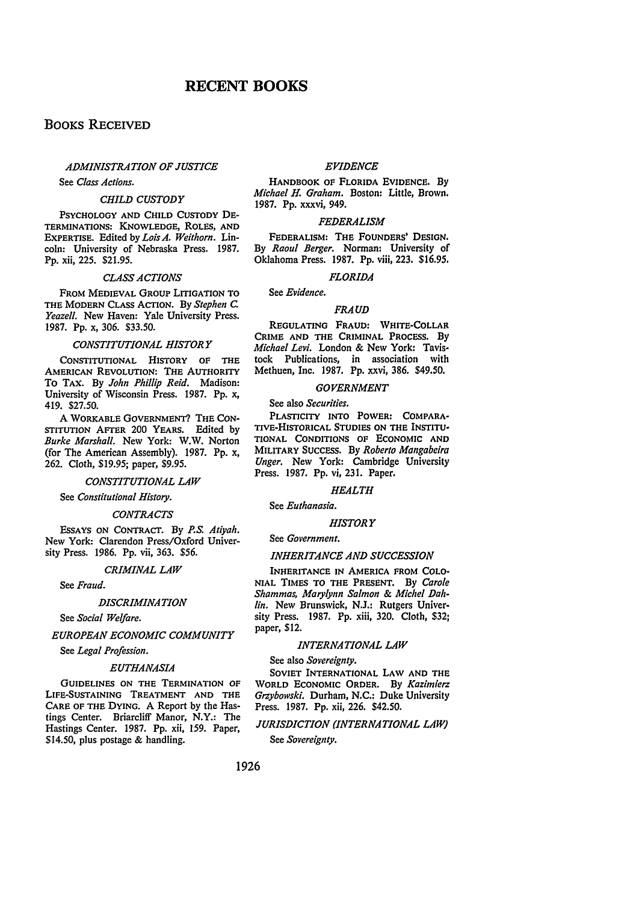## BOOKS RECEIVED

## *ADMINISTRATION OF JUSTICE*

See *Class Actions.* 

#### *CHILD CUSTODY*

PSYCHOLOGY AND CHILD CUSTODY DE-TERMINATIONS: KNOWLEDGE, ROLES, AND EXPERTISE. Edited by *Lois A. Weithorn.* Lincoln: University of Nebraska Press. 1987. Pp. xii, 225. \$21.95.

#### *CLASS ACTIONS*

FROM MEDIEVAL GROUP LITIGATION TO THE MODERN CLASS ACTION. By *Stephen c. Yeazell.* New Haven: Yale University Press. 1987. Pp. x, 306. \$33.50.

## *CONSTITUTIONAL HISTORY*

CONSTITUTIONAL HISTORY OF THE AMERICAN REVOLUTION: THE AUTHORITY To TAX. By *John Phillip Reid.* Madison: University of Wisconsin Press. 1987. Pp. x, 419. \$27.50.

A WORKABLE GOVERNMENT'? THE CON-STITUTION AFTER 200 YEARS. Edited by *Burke Marshall.* New York: W.W. Norton (for The American Assembly). 1987. Pp. x, 262. Cloth, \$19.95; paper, \$9.95.

#### *CONSTITUTIONAL LAW*

See *Constitutional History.* 

#### *CONTRACTS*

EsSAYS ON CONTRACT. By P.S. *Atiyah.*  New York: Clarendon Press/Oxford University Press. 1986. Pp. vii, 363. \$56.

## *CRIMINAL LAW*

See *Fraud.* 

#### *DISCRIMINATION*

See *Social Welfare.* 

*EUROPEAN ECONOMIC COMMUNITY* 

See *Legal Profession.* 

#### *EUTHANASIA*

GUIDELINES ON THE TERMINATION OF LIFE-SUSTAINING TREATMENT AND THE CARE OF THE DYING. A Report by the Hastings Center. Briarcliff Manor, N.Y.: The Hastings Center. 1987. Pp. xii, 159. Paper, \$14.50, plus postage & handling.

#### *EVIDENCE*

HANDBOOK OF FLORIDA EVIDENCE. By *Michael H. Graham.* Boston: Little, Brown. 1987. Pp. xxxvi, 949.

#### *FEDERALISM*

FEDERALISM: THE FOUNDERS' DESIGN. By *Raoul Berger.* Norman: University of Oklahoma Press. 1987. Pp. viii, 223. \$16.95.

#### *FLORIDA*

See *Evidence.* 

## *FRAUD*

REGULATING FRAUD: WHITE-COLLAR CRIME AND THE CRIMINAL PROCESS. By *Michael Levi.* London & New York: Tavis· tock Publications, in association with Methuen, Inc. 1987. Pp. xxvi, 386. \$49.50.

### *GOVERNMENT*

See also *Securities.* 

PLASTICITY INTO POWER: COMPARA· TIVE-HISTORICAL STUDIES ON THE INSTITU• TIONAL CONDITIONS OF ECONOMIC AND MILITARY SUCCESS. By *Roberto Mangabeira Unger.* New York: Cambridge University Press. 1987. Pp. vi, 231. Paper.

## *HEALTH*

See *Euthanasia.* 

#### *HISTORY*

See *Government.* 

#### *INHERITANCE AND SUCCESSION*

INHERITANCE IN AMERICA FROM COLO· NIAL TIMES TO THE PRESENT. By *Carole Shammas, Marylynn Salmon* & *Michel Dahlin.* New Brunswick, N.J.: Rutgers University Press. 1987. Pp. xiii, 320. Cloth, \$32; paper, \$12.

## *INTERNATIONAL LAW*

See also *Sovereignty.* 

SOVIET INTERNATIONAL LAW AND THE WORLD EcONOMIC ORDER. By *Kazimierz Grzybowski.* Durham, N.C.: Duke University Press. 1987. Pp. xii, 226. \$42.50.

## *JURISDICTION (INTERNATIONAL LAW)*

See *Sovereignty.*